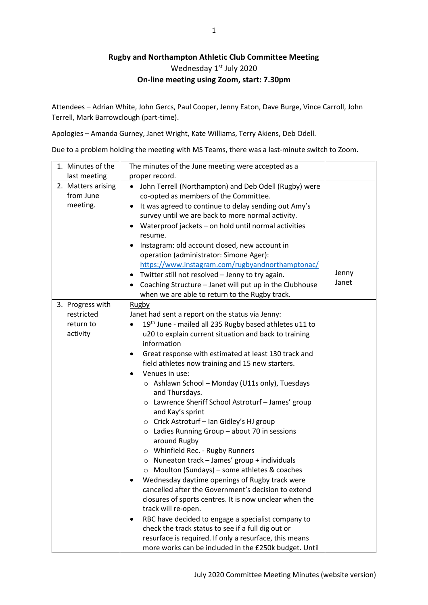## **Rugby and Northampton Athletic Club Committee Meeting** Wednesday 1st July 2020 **On-line meeting using Zoom, start: 7.30pm**

Attendees – Adrian White, John Gercs, Paul Cooper, Jenny Eaton, Dave Burge, Vince Carroll, John Terrell, Mark Barrowclough (part-time).

Apologies – Amanda Gurney, Janet Wright, Kate Williams, Terry Akiens, Deb Odell.

Due to a problem holding the meeting with MS Teams, there was a last-minute switch to Zoom.

| 1. Minutes of the                           | The minutes of the June meeting were accepted as a                                                                                                                                                                                                                                                                                                                                                                                                                                                                                                                                                                                                                                                                                                                                                                                                                                                                                                                                |                |
|---------------------------------------------|-----------------------------------------------------------------------------------------------------------------------------------------------------------------------------------------------------------------------------------------------------------------------------------------------------------------------------------------------------------------------------------------------------------------------------------------------------------------------------------------------------------------------------------------------------------------------------------------------------------------------------------------------------------------------------------------------------------------------------------------------------------------------------------------------------------------------------------------------------------------------------------------------------------------------------------------------------------------------------------|----------------|
| last meeting                                | proper record.                                                                                                                                                                                                                                                                                                                                                                                                                                                                                                                                                                                                                                                                                                                                                                                                                                                                                                                                                                    |                |
| 2. Matters arising<br>from June<br>meeting. | John Terrell (Northampton) and Deb Odell (Rugby) were<br>co-opted as members of the Committee.<br>It was agreed to continue to delay sending out Amy's<br>٠<br>survey until we are back to more normal activity.<br>Waterproof jackets - on hold until normal activities<br>resume.<br>Instagram: old account closed, new account in<br>operation (administrator: Simone Ager):<br>https://www.instagram.com/rugbyandnorthamptonac/<br>Twitter still not resolved - Jenny to try again.<br>$\bullet$<br>• Coaching Structure - Janet will put up in the Clubhouse<br>when we are able to return to the Rugby track.                                                                                                                                                                                                                                                                                                                                                               | Jenny<br>Janet |
| 3. Progress with                            | <b>Rugby</b>                                                                                                                                                                                                                                                                                                                                                                                                                                                                                                                                                                                                                                                                                                                                                                                                                                                                                                                                                                      |                |
| restricted                                  | Janet had sent a report on the status via Jenny:                                                                                                                                                                                                                                                                                                                                                                                                                                                                                                                                                                                                                                                                                                                                                                                                                                                                                                                                  |                |
| return to                                   | 19th June - mailed all 235 Rugby based athletes u11 to<br>$\bullet$                                                                                                                                                                                                                                                                                                                                                                                                                                                                                                                                                                                                                                                                                                                                                                                                                                                                                                               |                |
| activity                                    | u20 to explain current situation and back to training<br>information<br>Great response with estimated at least 130 track and<br>field athletes now training and 15 new starters.<br>Venues in use:<br>○ Ashlawn School - Monday (U11s only), Tuesdays<br>and Thursdays.<br>o Lawrence Sheriff School Astroturf - James' group<br>and Kay's sprint<br>○ Crick Astroturf - Ian Gidley's HJ group<br>$\circ$ Ladies Running Group - about 70 in sessions<br>around Rugby<br>O Whinfield Rec. - Rugby Runners<br>$\circ$ Nuneaton track - James' group + individuals<br>○ Moulton (Sundays) – some athletes & coaches<br>Wednesday daytime openings of Rugby track were<br>cancelled after the Government's decision to extend<br>closures of sports centres. It is now unclear when the<br>track will re-open.<br>RBC have decided to engage a specialist company to<br>check the track status to see if a full dig out or<br>resurface is required. If only a resurface, this means |                |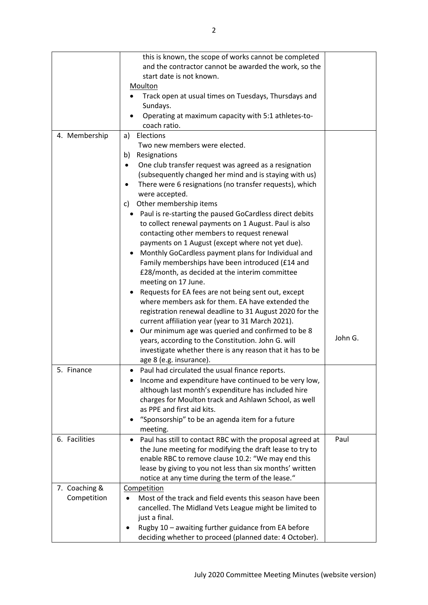|               | this is known, the scope of works cannot be completed                 |         |
|---------------|-----------------------------------------------------------------------|---------|
|               | and the contractor cannot be awarded the work, so the                 |         |
|               | start date is not known.                                              |         |
|               | Moulton                                                               |         |
|               | Track open at usual times on Tuesdays, Thursdays and                  |         |
|               | Sundays.                                                              |         |
|               | Operating at maximum capacity with 5:1 athletes-to-                   |         |
|               | coach ratio.                                                          |         |
| 4. Membership | Elections<br>a)                                                       |         |
|               | Two new members were elected.                                         |         |
|               | Resignations<br>b)                                                    |         |
|               | One club transfer request was agreed as a resignation<br>$\bullet$    |         |
|               | (subsequently changed her mind and is staying with us)                |         |
|               | There were 6 resignations (no transfer requests), which               |         |
|               | were accepted.                                                        |         |
|               | Other membership items<br>C)                                          |         |
|               | Paul is re-starting the paused GoCardless direct debits<br>٠          |         |
|               | to collect renewal payments on 1 August. Paul is also                 |         |
|               | contacting other members to request renewal                           |         |
|               | payments on 1 August (except where not yet due).                      |         |
|               | Monthly GoCardless payment plans for Individual and                   |         |
|               |                                                                       |         |
|               | Family memberships have been introduced (£14 and                      |         |
|               | £28/month, as decided at the interim committee                        |         |
|               | meeting on 17 June.                                                   |         |
|               | Requests for EA fees are not being sent out, except                   |         |
|               | where members ask for them. EA have extended the                      |         |
|               | registration renewal deadline to 31 August 2020 for the               |         |
|               | current affiliation year (year to 31 March 2021).                     |         |
|               | Our minimum age was queried and confirmed to be 8                     | John G. |
|               | years, according to the Constitution. John G. will                    |         |
|               | investigate whether there is any reason that it has to be             |         |
|               | age 8 (e.g. insurance).                                               |         |
| 5. Finance    | Paul had circulated the usual finance reports.<br>٠                   |         |
|               | Income and expenditure have continued to be very low,                 |         |
|               | although last month's expenditure has included hire                   |         |
|               | charges for Moulton track and Ashlawn School, as well                 |         |
|               | as PPE and first aid kits.                                            |         |
|               | "Sponsorship" to be an agenda item for a future                       |         |
|               | meeting.                                                              |         |
| 6. Facilities | Paul has still to contact RBC with the proposal agreed at             | Paul    |
|               | the June meeting for modifying the draft lease to try to              |         |
|               | enable RBC to remove clause 10.2: "We may end this                    |         |
|               | lease by giving to you not less than six months' written              |         |
|               | notice at any time during the term of the lease."                     |         |
| 7. Coaching & | Competition                                                           |         |
| Competition   | Most of the track and field events this season have been<br>$\bullet$ |         |
|               | cancelled. The Midland Vets League might be limited to                |         |
|               | just a final.                                                         |         |
|               | Rugby 10 - awaiting further guidance from EA before                   |         |
|               | deciding whether to proceed (planned date: 4 October).                |         |